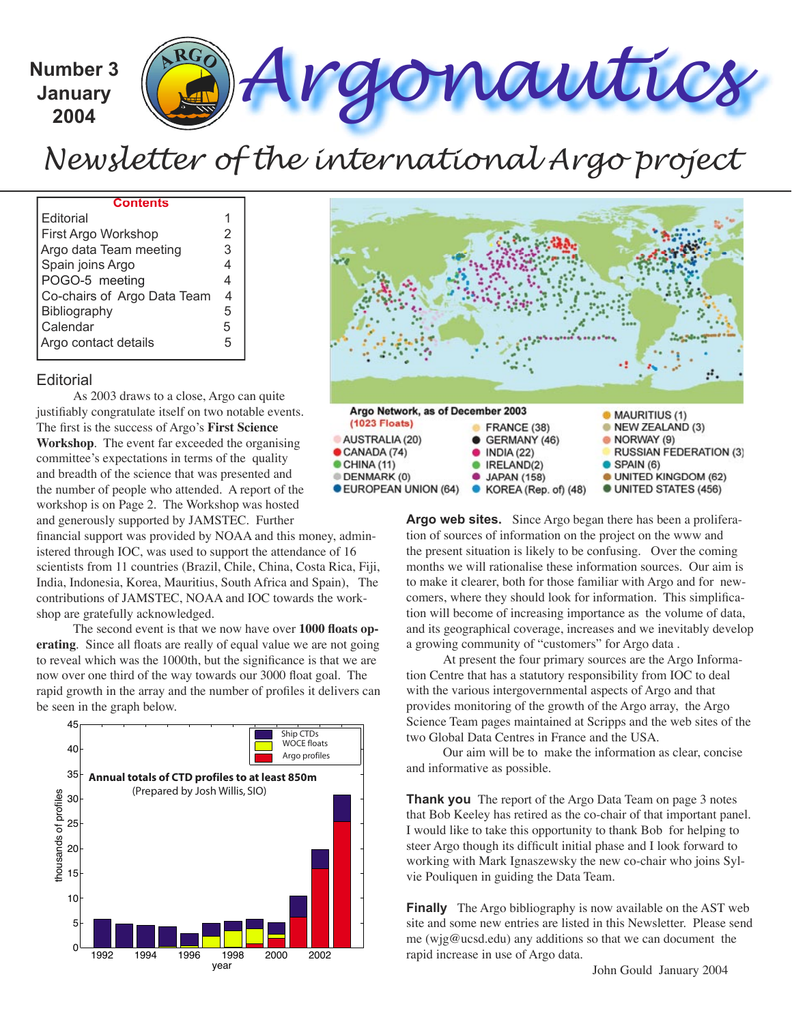Number 3 (ARG) Argonautics **January**

**2004**

# *Newsletter of the international Argo project*

#### **Contents**

| Editorial                   |   |
|-----------------------------|---|
| First Argo Workshop         | 2 |
| Argo data Team meeting      | 3 |
| Spain joins Argo            |   |
| POGO-5 meeting              | 4 |
| Co-chairs of Argo Data Team | 4 |
| Bibliography                | 5 |
| Calendar                    | 5 |
| Argo contact details        | 5 |

#### **Editorial**

As 2003 draws to a close, Argo can quite justifiably congratulate itself on two notable events. The first is the success of Argo's First Science **Workshop**. The event far exceeded the organising committee's expectations in terms of the quality and breadth of the science that was presented and the number of people who attended. A report of the workshop is on Page 2. The Workshop was hosted and generously supported by JAMSTEC. Further

financial support was provided by NOAA and this money, administered through IOC, was used to support the attendance of 16 scientists from 11 countries (Brazil, Chile, China, Costa Rica, Fiji, India, Indonesia, Korea, Mauritius, South Africa and Spain), The contributions of JAMSTEC, NOAA and IOC towards the workshop are gratefully acknowledged.

The second event is that we now have over 1000 floats op**erating**. Since all floats are really of equal value we are not going to reveal which was the 1000th, but the significance is that we are now over one third of the way towards our 3000 float goal. The rapid growth in the array and the number of profiles it delivers can be seen in the graph below.





**Argo web sites.** Since Argo began there has been a proliferation of sources of information on the project on the www and the present situation is likely to be confusing. Over the coming months we will rationalise these information sources. Our aim is to make it clearer, both for those familiar with Argo and for newcomers, where they should look for information. This simplification will become of increasing importance as the volume of data, and its geographical coverage, increases and we inevitably develop a growing community of "customers" for Argo data .

At present the four primary sources are the Argo Information Centre that has a statutory responsibility from IOC to deal with the various intergovernmental aspects of Argo and that provides monitoring of the growth of the Argo array, the Argo Science Team pages maintained at Scripps and the web sites of the two Global Data Centres in France and the USA.

Our aim will be to make the information as clear, concise and informative as possible.

**Thank you** The report of the Argo Data Team on page 3 notes that Bob Keeley has retired as the co-chair of that important panel. I would like to take this opportunity to thank Bob for helping to steer Argo though its difficult initial phase and I look forward to working with Mark Ignaszewsky the new co-chair who joins Sylvie Pouliquen in guiding the Data Team.

**Finally** The Argo bibliography is now available on the AST web site and some new entries are listed in this Newsletter. Please send me (wjg@ucsd.edu) any additions so that we can document the rapid increase in use of Argo data.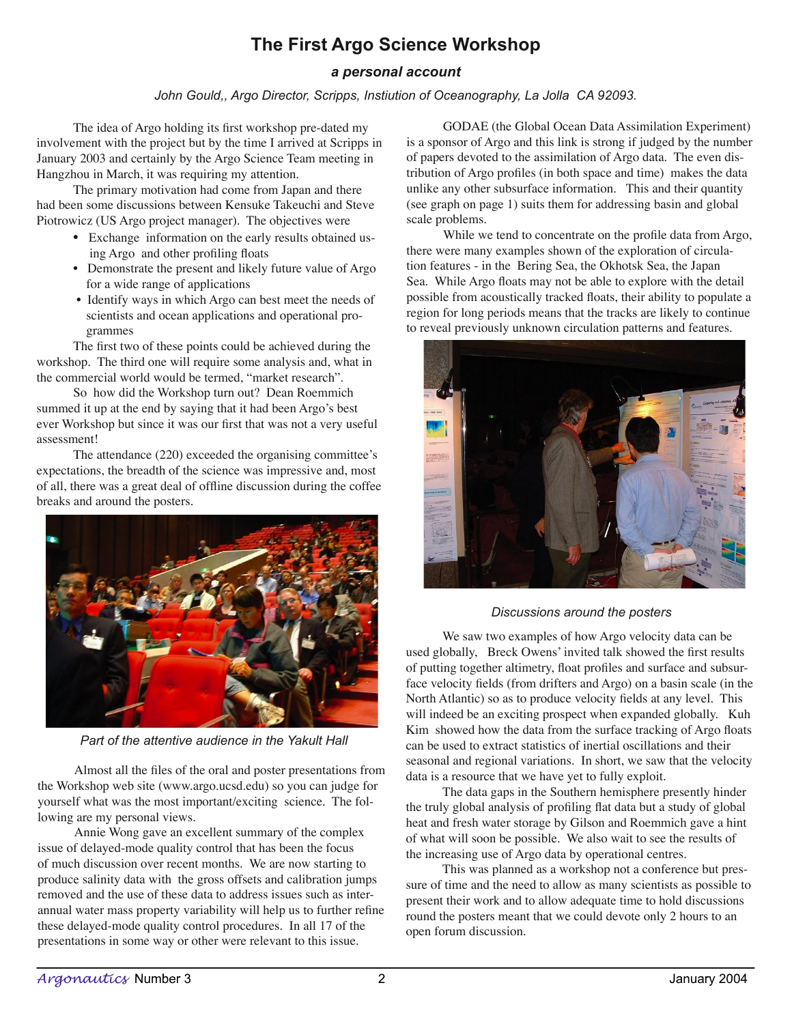# **The First Argo Science Workshop**

### *a personal account*

#### *John Gould,, Argo Director, Scripps, Instiution of Oceanography, La Jolla CA 92093.*

The idea of Argo holding its first workshop pre-dated my involvement with the project but by the time I arrived at Scripps in January 2003 and certainly by the Argo Science Team meeting in Hangzhou in March, it was requiring my attention.

The primary motivation had come from Japan and there had been some discussions between Kensuke Takeuchi and Steve Piotrowicz (US Argo project manager). The objectives were

- Exchange information on the early results obtained us ing Argo and other profiling floats
- Demonstrate the present and likely future value of Argo for a wide range of applications
- Identify ways in which Argo can best meet the needs of scientists and ocean applications and operational pro grammes

The first two of these points could be achieved during the workshop. The third one will require some analysis and, what in the commercial world would be termed, "market research".

So how did the Workshop turn out? Dean Roemmich summed it up at the end by saying that it had been Argo's best ever Workshop but since it was our first that was not a very useful assessment!

The attendance (220) exceeded the organising committee's expectations, the breadth of the science was impressive and, most of all, there was a great deal of offline discussion during the coffee breaks and around the posters.



*Part of the attentive audience in the Yakult Hall*

Almost all the files of the oral and poster presentations from the Workshop web site (www.argo.ucsd.edu) so you can judge for yourself what was the most important/exciting science. The following are my personal views.

Annie Wong gave an excellent summary of the complex issue of delayed-mode quality control that has been the focus of much discussion over recent months. We are now starting to produce salinity data with the gross offsets and calibration jumps removed and the use of these data to address issues such as interannual water mass property variability will help us to further refine these delayed-mode quality control procedures. In all 17 of the presentations in some way or other were relevant to this issue.

GODAE (the Global Ocean Data Assimilation Experiment) is a sponsor of Argo and this link is strong if judged by the number of papers devoted to the assimilation of Argo data. The even distribution of Argo profiles (in both space and time) makes the data unlike any other subsurface information. This and their quantity (see graph on page 1) suits them for addressing basin and global scale problems.

While we tend to concentrate on the profile data from Argo, there were many examples shown of the exploration of circulation features - in the Bering Sea, the Okhotsk Sea, the Japan Sea. While Argo floats may not be able to explore with the detail possible from acoustically tracked floats, their ability to populate a region for long periods means that the tracks are likely to continue to reveal previously unknown circulation patterns and features.



#### *Discussions around the posters*

We saw two examples of how Argo velocity data can be used globally, Breck Owens' invited talk showed the first results of putting together altimetry, float profiles and surface and subsurface velocity fields (from drifters and Argo) on a basin scale (in the North Atlantic) so as to produce velocity fields at any level. This will indeed be an exciting prospect when expanded globally. Kuh Kim showed how the data from the surface tracking of Argo floats can be used to extract statistics of inertial oscillations and their seasonal and regional variations. In short, we saw that the velocity data is a resource that we have yet to fully exploit.

The data gaps in the Southern hemisphere presently hinder the truly global analysis of profiling flat data but a study of global heat and fresh water storage by Gilson and Roemmich gave a hint of what will soon be possible. We also wait to see the results of the increasing use of Argo data by operational centres.

This was planned as a workshop not a conference but pressure of time and the need to allow as many scientists as possible to present their work and to allow adequate time to hold discussions round the posters meant that we could devote only 2 hours to an open forum discussion.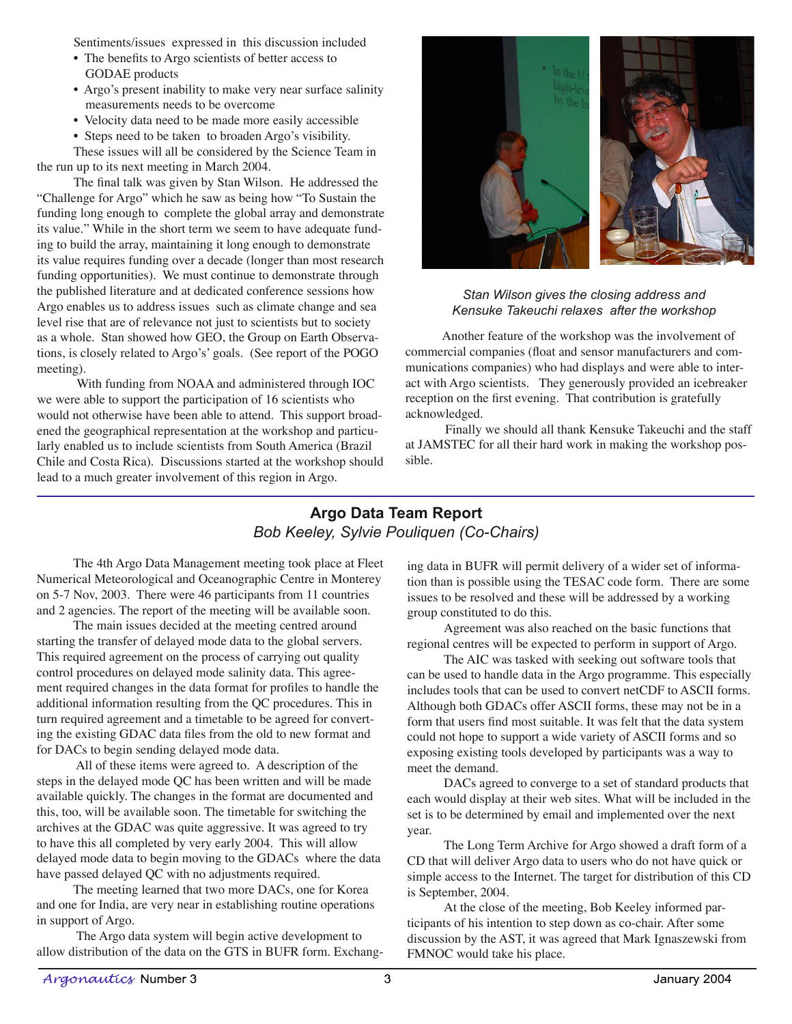Sentiments/issues expressed in this discussion included

- The benefits to Argo scientists of better access to GODAE products
- Argo's present inability to make very near surface salinity measurements needs to be overcome
- Velocity data need to be made more easily accessible
- Steps need to be taken to broaden Argo's visibility.

These issues will all be considered by the Science Team in the run up to its next meeting in March 2004.

The final talk was given by Stan Wilson. He addressed the "Challenge for Argo" which he saw as being how "To Sustain the funding long enough to complete the global array and demonstrate its value." While in the short term we seem to have adequate funding to build the array, maintaining it long enough to demonstrate its value requires funding over a decade (longer than most research funding opportunities). We must continue to demonstrate through the published literature and at dedicated conference sessions how Argo enables us to address issues such as climate change and sea level rise that are of relevance not just to scientists but to society as a whole. Stan showed how GEO, the Group on Earth Observations, is closely related to Argo's' goals. (See report of the POGO meeting).

 With funding from NOAA and administered through IOC we were able to support the participation of 16 scientists who would not otherwise have been able to attend. This support broadened the geographical representation at the workshop and particularly enabled us to include scientists from South America (Brazil Chile and Costa Rica). Discussions started at the workshop should lead to a much greater involvement of this region in Argo.



#### *Stan Wilson gives the closing address and Kensuke Takeuchi relaxes after the workshop*

Another feature of the workshop was the involvement of commercial companies (float and sensor manufacturers and communications companies) who had displays and were able to interact with Argo scientists. They generously provided an icebreaker reception on the first evening. That contribution is gratefully acknowledged.

 Finally we should all thank Kensuke Takeuchi and the staff at JAMSTEC for all their hard work in making the workshop possible.

# **Argo Data Team Report** *Bob Keeley, Sylvie Pouliquen (Co-Chairs)*

The 4th Argo Data Management meeting took place at Fleet Numerical Meteorological and Oceanographic Centre in Monterey on 5-7 Nov, 2003. There were 46 participants from 11 countries and 2 agencies. The report of the meeting will be available soon.

The main issues decided at the meeting centred around starting the transfer of delayed mode data to the global servers. This required agreement on the process of carrying out quality control procedures on delayed mode salinity data. This agreement required changes in the data format for profiles to handle the additional information resulting from the QC procedures. This in turn required agreement and a timetable to be agreed for converting the existing GDAC data files from the old to new format and for DACs to begin sending delayed mode data.

 All of these items were agreed to. A description of the steps in the delayed mode QC has been written and will be made available quickly. The changes in the format are documented and this, too, will be available soon. The timetable for switching the archives at the GDAC was quite aggressive. It was agreed to try to have this all completed by very early 2004. This will allow delayed mode data to begin moving to the GDACs where the data have passed delayed QC with no adjustments required.

The meeting learned that two more DACs, one for Korea and one for India, are very near in establishing routine operations in support of Argo.

 The Argo data system will begin active development to allow distribution of the data on the GTS in BUFR form. Exchanging data in BUFR will permit delivery of a wider set of information than is possible using the TESAC code form. There are some issues to be resolved and these will be addressed by a working group constituted to do this.

Agreement was also reached on the basic functions that regional centres will be expected to perform in support of Argo.

The AIC was tasked with seeking out software tools that can be used to handle data in the Argo programme. This especially includes tools that can be used to convert netCDF to ASCII forms. Although both GDACs offer ASCII forms, these may not be in a form that users find most suitable. It was felt that the data system could not hope to support a wide variety of ASCII forms and so exposing existing tools developed by participants was a way to meet the demand.

DACs agreed to converge to a set of standard products that each would display at their web sites. What will be included in the set is to be determined by email and implemented over the next year.

The Long Term Archive for Argo showed a draft form of a CD that will deliver Argo data to users who do not have quick or simple access to the Internet. The target for distribution of this CD is September, 2004.

At the close of the meeting, Bob Keeley informed participants of his intention to step down as co-chair. After some discussion by the AST, it was agreed that Mark Ignaszewski from FMNOC would take his place.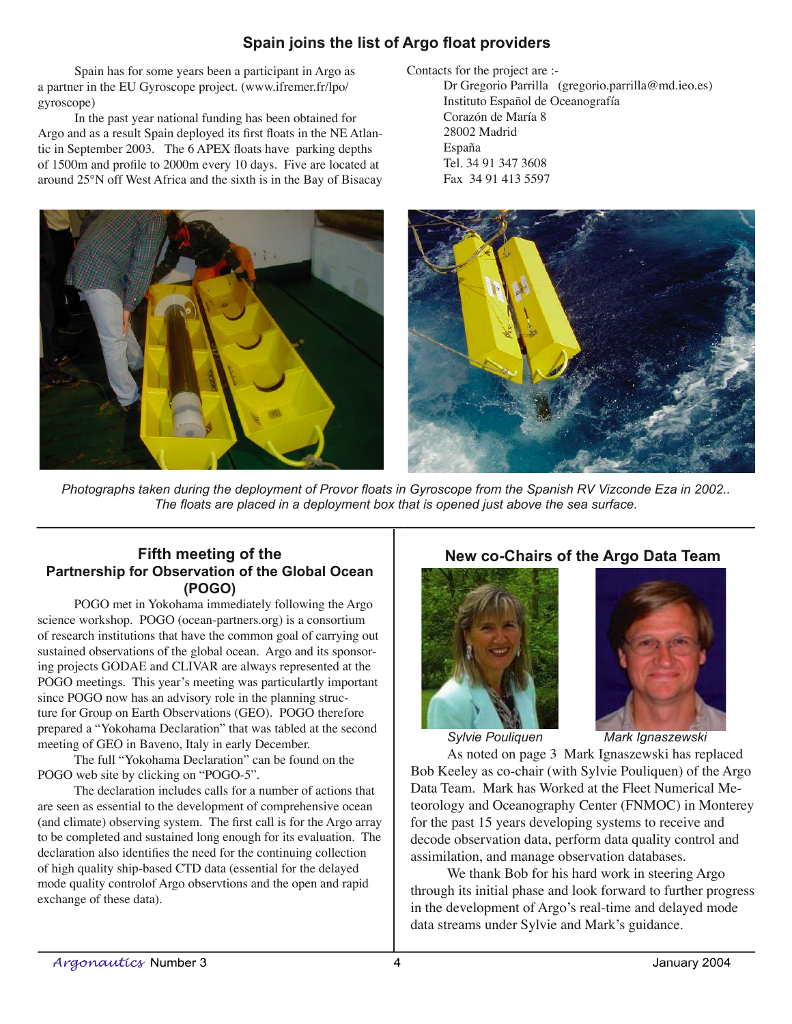# **Spain joins the list of Argo float providers**

Spain has for some years been a participant in Argo as a partner in the EU Gyroscope project. (www.ifremer.fr/lpo/ gyroscope)

In the past year national funding has been obtained for Argo and as a result Spain deployed its first floats in the NE Atlantic in September 2003. The 6 APEX floats have parking depths of 1500m and profile to 2000m every 10 days. Five are located at around 25°N off West Africa and the sixth is in the Bay of Bisacay Contacts for the project are :-

Dr Gregorio Parrilla (gregorio.parrilla@md.ieo.es) Instituto Español de Oceanografía Corazón de María 8 28002 Madrid España Tel. 34 91 347 3608 Fax 34 91 413 5597



Photographs taken during the deployment of Provor floats in Gyroscope from the Spanish RV Vizconde Eza in 2002.. The floats are placed in a deployment box that is opened just above the sea surface.

## **Fifth meeting of the Partnership for Observation of the Global Ocean (POGO)**

POGO met in Yokohama immediately following the Argo science workshop. POGO (ocean-partners.org) is a consortium of research institutions that have the common goal of carrying out sustained observations of the global ocean. Argo and its sponsoring projects GODAE and CLIVAR are always represented at the POGO meetings. This year's meeting was particulartly important since POGO now has an advisory role in the planning structure for Group on Earth Observations (GEO). POGO therefore prepared a "Yokohama Declaration" that was tabled at the second meeting of GEO in Baveno, Italy in early December.

The full "Yokohama Declaration" can be found on the POGO web site by clicking on "POGO-5".

The declaration includes calls for a number of actions that are seen as essential to the development of comprehensive ocean (and climate) observing system. The first call is for the Argo array to be completed and sustained long enough for its evaluation. The declaration also identifies the need for the continuing collection of high quality ship-based CTD data (essential for the delayed mode quality controlof Argo observtions and the open and rapid exchange of these data).

## **New co-Chairs of the Argo Data Team**



*Sylvie Pouliquen Mark Ignaszewski*

As noted on page 3 Mark Ignaszewski has replaced Bob Keeley as co-chair (with Sylvie Pouliquen) of the Argo Data Team. Mark has Worked at the Fleet Numerical Meteorology and Oceanography Center (FNMOC) in Monterey for the past 15 years developing systems to receive and decode observation data, perform data quality control and assimilation, and manage observation databases.

We thank Bob for his hard work in steering Argo through its initial phase and look forward to further progress in the development of Argo's real-time and delayed mode data streams under Sylvie and Mark's guidance.